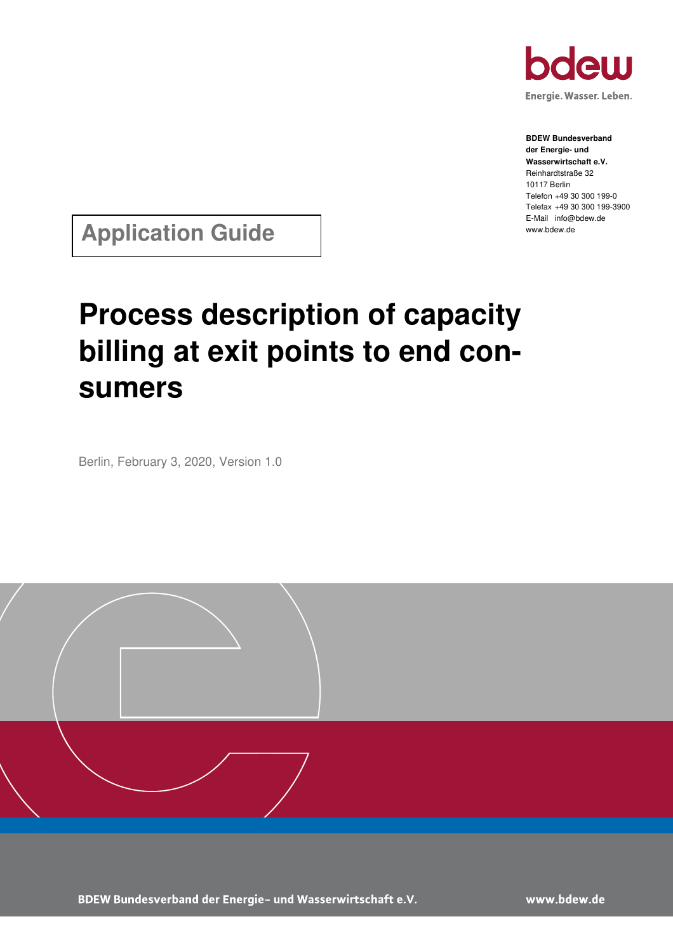

Energie. Wasser. Leben.

**BDEW Bundesverband der Energie- und Wasserwirtschaft e.V.**  Reinhardtstraße 32 10117 Berlin Telefon +49 30 300 199-0 Telefax +49 30 300 199-3900 E-Mail info@bdew.de www.bdew.de

**Application Guide** 

# **Process description of capacity billing at exit points to end consumers**

Berlin, February 3, 2020, Version 1.0



BDEW Bundesverband der Energie- und Wasserwirtschaft e.V.

www.bdew.de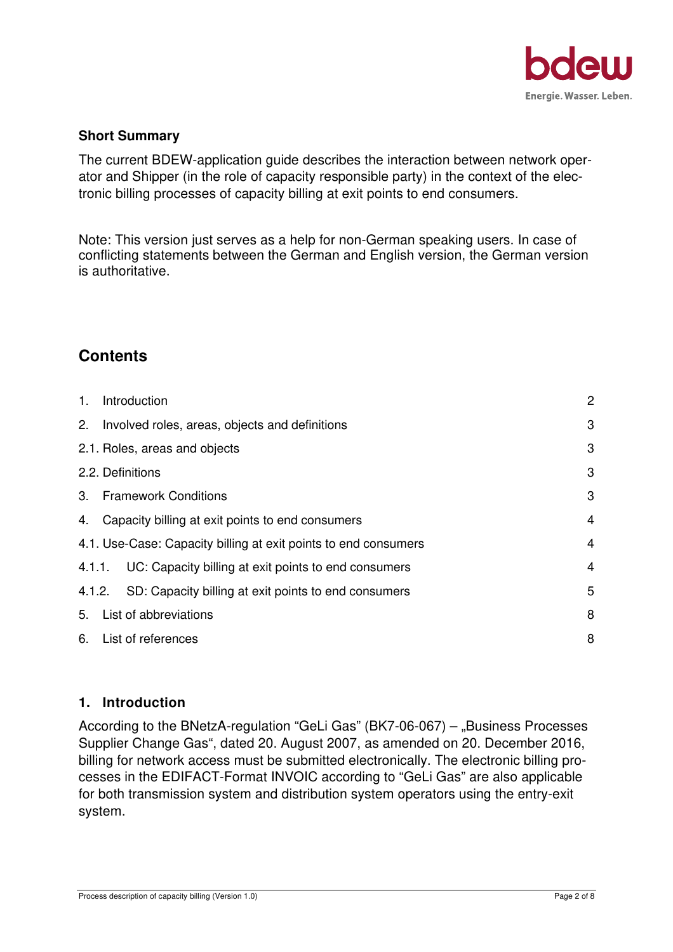

#### **Short Summary**

The current BDEW-application guide describes the interaction between network operator and Shipper (in the role of capacity responsible party) in the context of the electronic billing processes of capacity billing at exit points to end consumers.

Note: This version just serves as a help for non-German speaking users. In case of conflicting statements between the German and English version, the German version is authoritative.

# **Contents**

| $1_{-}$ | Introduction                                                    | $\overline{2}$ |
|---------|-----------------------------------------------------------------|----------------|
|         | 2. Involved roles, areas, objects and definitions               | 3              |
|         | 2.1. Roles, areas and objects                                   | 3              |
|         | 2.2. Definitions                                                | 3              |
|         | 3. Framework Conditions                                         | 3              |
|         | 4. Capacity billing at exit points to end consumers             | $\overline{4}$ |
|         | 4.1. Use-Case: Capacity billing at exit points to end consumers | $\overline{4}$ |
|         | 4.1.1. UC: Capacity billing at exit points to end consumers     | $\overline{4}$ |
|         | 4.1.2. SD: Capacity billing at exit points to end consumers     | 5              |
|         | 5. List of abbreviations                                        | 8              |
|         | 6. List of references                                           | 8              |

# **1. Introduction**

According to the BNetzA-regulation "GeLi Gas" (BK7-06-067)  $-$  "Business Processes Supplier Change Gas", dated 20. August 2007, as amended on 20. December 2016, billing for network access must be submitted electronically. The electronic billing processes in the EDIFACT-Format INVOIC according to "GeLi Gas" are also applicable for both transmission system and distribution system operators using the entry-exit system.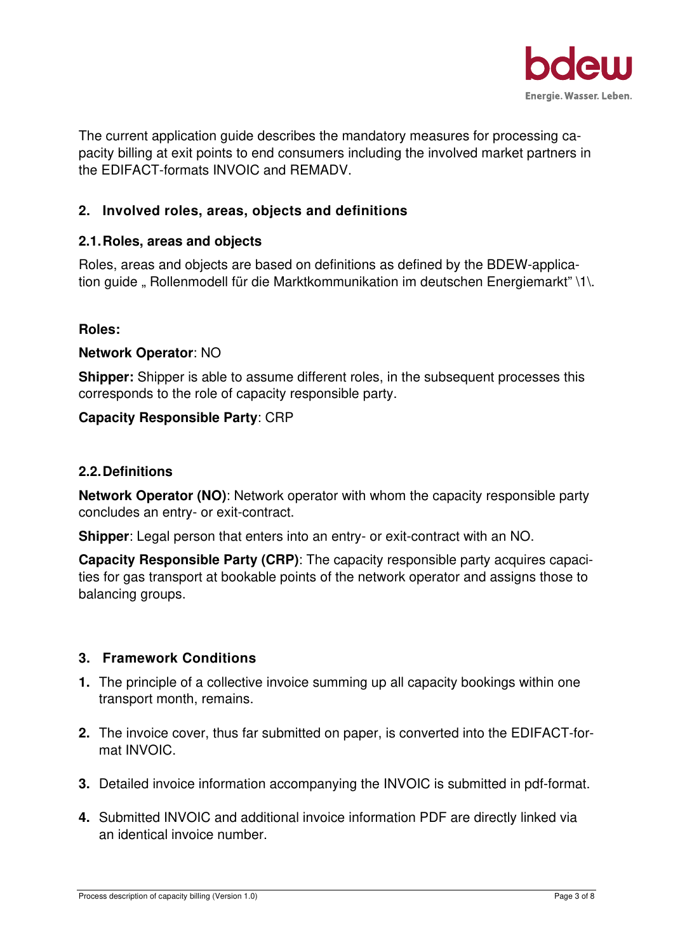

The current application guide describes the mandatory measures for processing capacity billing at exit points to end consumers including the involved market partners in the EDIFACT-formats INVOIC and REMADV.

# **2. Involved roles, areas, objects and definitions**

# **2.1. Roles, areas and objects**

Roles, areas and objects are based on definitions as defined by the BDEW-application guide " Rollenmodell für die Marktkommunikation im deutschen Energiemarkt" \1\.

#### **Roles:**

#### **Network Operator**: NO

**Shipper:** Shipper is able to assume different roles, in the subsequent processes this corresponds to the role of capacity responsible party.

## **Capacity Responsible Party**: CRP

#### **2.2. Definitions**

**Network Operator (NO)**: Network operator with whom the capacity responsible party concludes an entry- or exit-contract.

**Shipper**: Legal person that enters into an entry- or exit-contract with an NO.

**Capacity Responsible Party (CRP)**: The capacity responsible party acquires capacities for gas transport at bookable points of the network operator and assigns those to balancing groups.

#### **3. Framework Conditions**

- **1.** The principle of a collective invoice summing up all capacity bookings within one transport month, remains.
- **2.** The invoice cover, thus far submitted on paper, is converted into the EDIFACT-format INVOIC.
- **3.** Detailed invoice information accompanying the INVOIC is submitted in pdf-format.
- **4.** Submitted INVOIC and additional invoice information PDF are directly linked via an identical invoice number.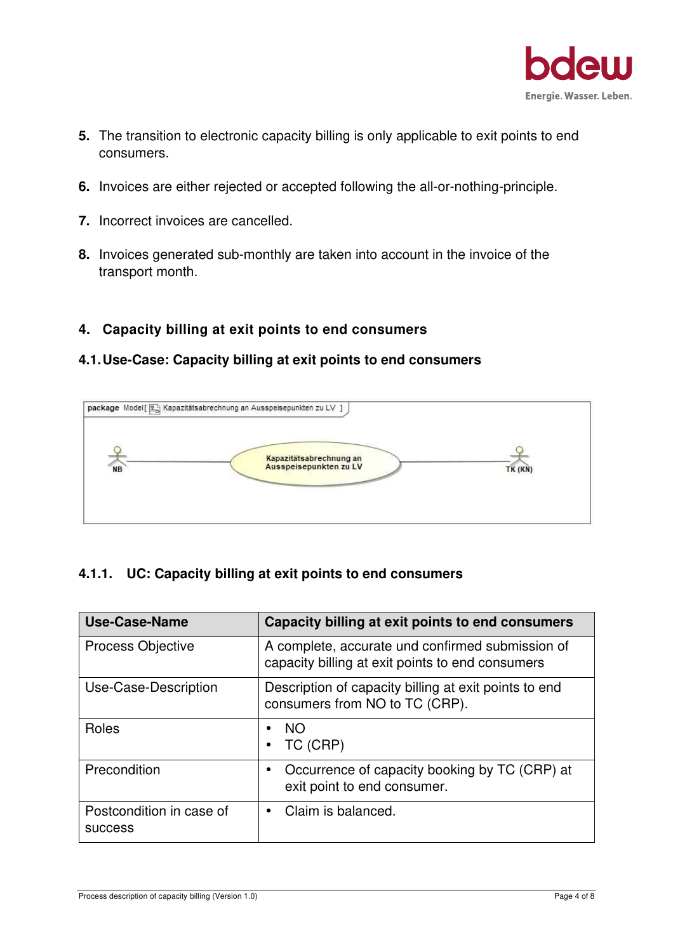

- **5.** The transition to electronic capacity billing is only applicable to exit points to end consumers.
- **6.** Invoices are either rejected or accepted following the all-or-nothing-principle.
- **7.** Incorrect invoices are cancelled.
- **8.** Invoices generated sub-monthly are taken into account in the invoice of the transport month.

## **4. Capacity billing at exit points to end consumers**

#### **4.1. Use-Case: Capacity billing at exit points to end consumers**



#### **4.1.1. UC: Capacity billing at exit points to end consumers**

| <b>Use-Case-Name</b>                       | Capacity billing at exit points to end consumers                                                     |
|--------------------------------------------|------------------------------------------------------------------------------------------------------|
| <b>Process Objective</b>                   | A complete, accurate und confirmed submission of<br>capacity billing at exit points to end consumers |
| Use-Case-Description                       | Description of capacity billing at exit points to end<br>consumers from NO to TC (CRP).              |
| Roles                                      | <b>NO</b><br>TC (CRP)                                                                                |
| Precondition                               | Occurrence of capacity booking by TC (CRP) at<br>$\bullet$<br>exit point to end consumer.            |
| Postcondition in case of<br><b>SUCCESS</b> | Claim is balanced.<br>$\bullet$                                                                      |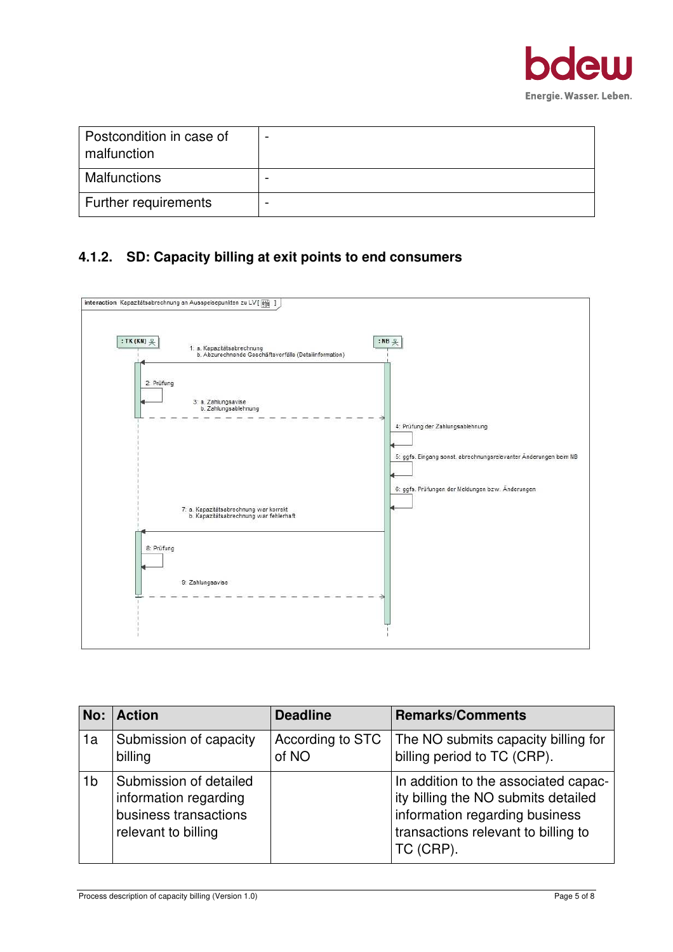

| Postcondition in case of<br>malfunction |   |
|-----------------------------------------|---|
| <b>Malfunctions</b>                     |   |
| Further requirements                    | - |

# **4.1.2. SD: Capacity billing at exit points to end consumers**



| No:            | <b>Action</b>                                                                                          | <b>Deadline</b>           | <b>Remarks/Comments</b>                                                                                                                                           |
|----------------|--------------------------------------------------------------------------------------------------------|---------------------------|-------------------------------------------------------------------------------------------------------------------------------------------------------------------|
| 1a             | Submission of capacity<br>billing                                                                      | According to STC<br>of NO | The NO submits capacity billing for<br>billing period to TC (CRP).                                                                                                |
| 1 <sub>b</sub> | <b>Submission of detailed</b><br>information regarding<br>business transactions<br>relevant to billing |                           | In addition to the associated capac-<br>ity billing the NO submits detailed<br>information regarding business<br>transactions relevant to billing to<br>TC (CRP). |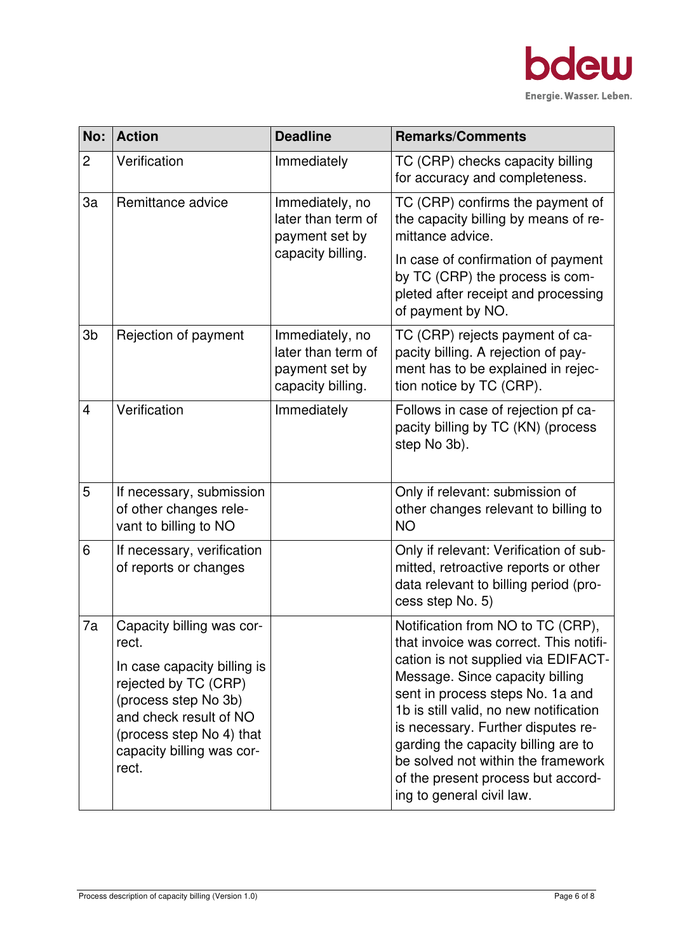

| No:            | <b>Action</b>                                                                                                                                                                                                 | <b>Deadline</b>                                                              | <b>Remarks/Comments</b>                                                                                                                                                                                                                                                                                                                                                                                                   |
|----------------|---------------------------------------------------------------------------------------------------------------------------------------------------------------------------------------------------------------|------------------------------------------------------------------------------|---------------------------------------------------------------------------------------------------------------------------------------------------------------------------------------------------------------------------------------------------------------------------------------------------------------------------------------------------------------------------------------------------------------------------|
| $\overline{2}$ | Verification                                                                                                                                                                                                  | Immediately                                                                  | TC (CRP) checks capacity billing<br>for accuracy and completeness.                                                                                                                                                                                                                                                                                                                                                        |
| 3a             | Remittance advice                                                                                                                                                                                             | Immediately, no<br>later than term of<br>payment set by<br>capacity billing. | TC (CRP) confirms the payment of<br>the capacity billing by means of re-<br>mittance advice.<br>In case of confirmation of payment<br>by TC (CRP) the process is com-<br>pleted after receipt and processing<br>of payment by NO.                                                                                                                                                                                         |
| 3 <sub>b</sub> | Rejection of payment                                                                                                                                                                                          | Immediately, no<br>later than term of<br>payment set by<br>capacity billing. | TC (CRP) rejects payment of ca-<br>pacity billing. A rejection of pay-<br>ment has to be explained in rejec-<br>tion notice by TC (CRP).                                                                                                                                                                                                                                                                                  |
| $\overline{4}$ | Verification                                                                                                                                                                                                  | Immediately                                                                  | Follows in case of rejection pf ca-<br>pacity billing by TC (KN) (process<br>step No 3b).                                                                                                                                                                                                                                                                                                                                 |
| 5              | If necessary, submission<br>of other changes rele-<br>vant to billing to NO                                                                                                                                   |                                                                              | Only if relevant: submission of<br>other changes relevant to billing to<br><b>NO</b>                                                                                                                                                                                                                                                                                                                                      |
| 6              | If necessary, verification<br>of reports or changes                                                                                                                                                           |                                                                              | Only if relevant: Verification of sub-<br>mitted, retroactive reports or other<br>data relevant to billing period (pro-<br>cess step No. 5)                                                                                                                                                                                                                                                                               |
| 7a             | Capacity billing was cor-<br>rect.<br>In case capacity billing is<br>rejected by TC (CRP)<br>(process step No 3b)<br>and check result of NO<br>(process step No 4) that<br>capacity billing was cor-<br>rect. |                                                                              | Notification from NO to TC (CRP),<br>that invoice was correct. This notifi-<br>cation is not supplied via EDIFACT-<br>Message. Since capacity billing<br>sent in process steps No. 1a and<br>1b is still valid, no new notification<br>is necessary. Further disputes re-<br>garding the capacity billing are to<br>be solved not within the framework<br>of the present process but accord-<br>ing to general civil law. |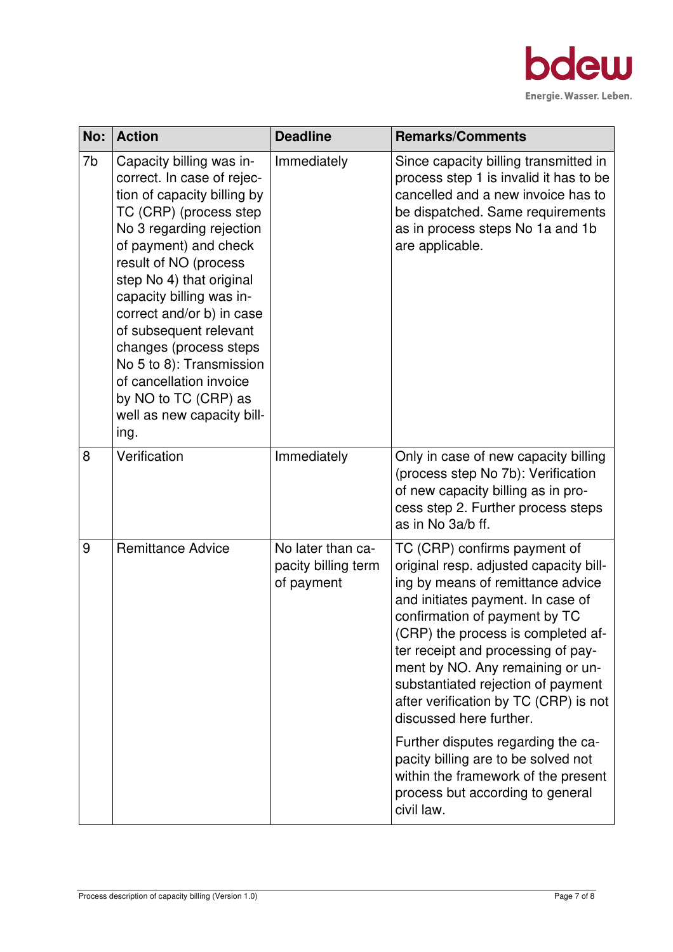

| No: | <b>Action</b>                                                                                                                                                                                                                                                                                                                                                                                                                                               | <b>Deadline</b>                                        | <b>Remarks/Comments</b>                                                                                                                                                                                                                                                                                                                                                                                                                                                                                                                                                           |
|-----|-------------------------------------------------------------------------------------------------------------------------------------------------------------------------------------------------------------------------------------------------------------------------------------------------------------------------------------------------------------------------------------------------------------------------------------------------------------|--------------------------------------------------------|-----------------------------------------------------------------------------------------------------------------------------------------------------------------------------------------------------------------------------------------------------------------------------------------------------------------------------------------------------------------------------------------------------------------------------------------------------------------------------------------------------------------------------------------------------------------------------------|
| 7b  | Capacity billing was in-<br>correct. In case of rejec-<br>tion of capacity billing by<br>TC (CRP) (process step<br>No 3 regarding rejection<br>of payment) and check<br>result of NO (process<br>step No 4) that original<br>capacity billing was in-<br>correct and/or b) in case<br>of subsequent relevant<br>changes (process steps<br>No 5 to 8): Transmission<br>of cancellation invoice<br>by NO to TC (CRP) as<br>well as new capacity bill-<br>ing. | Immediately                                            | Since capacity billing transmitted in<br>process step 1 is invalid it has to be<br>cancelled and a new invoice has to<br>be dispatched. Same requirements<br>as in process steps No 1a and 1b<br>are applicable.                                                                                                                                                                                                                                                                                                                                                                  |
| 8   | Verification                                                                                                                                                                                                                                                                                                                                                                                                                                                | Immediately                                            | Only in case of new capacity billing<br>(process step No 7b): Verification<br>of new capacity billing as in pro-<br>cess step 2. Further process steps<br>as in No 3a/b ff.                                                                                                                                                                                                                                                                                                                                                                                                       |
| 9   | <b>Remittance Advice</b>                                                                                                                                                                                                                                                                                                                                                                                                                                    | No later than ca-<br>pacity billing term<br>of payment | TC (CRP) confirms payment of<br>original resp. adjusted capacity bill-<br>ing by means of remittance advice<br>and initiates payment. In case of<br>confirmation of payment by TC<br>(CRP) the process is completed af-<br>ter receipt and processing of pay-<br>ment by NO. Any remaining or un-<br>substantiated rejection of payment<br>after verification by TC (CRP) is not<br>discussed here further.<br>Further disputes regarding the ca-<br>pacity billing are to be solved not<br>within the framework of the present<br>process but according to general<br>civil law. |